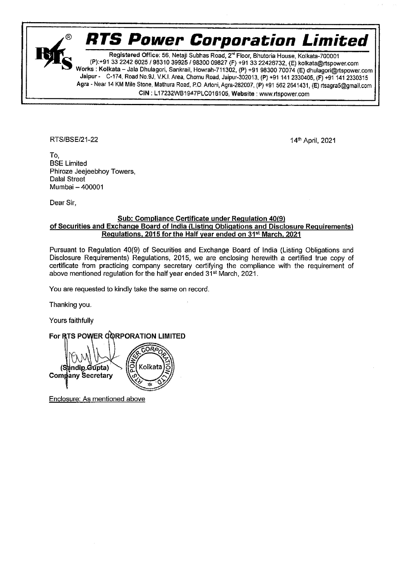

Registered Office: 56, Netaji Subhas Road, 2<sup>nd</sup> Floor, Bhutoria House, Kolkata-700001<br>(P):+91 33 2242 6025 / 98310 39925 / 98300 09827 (F) +91 33 22426732, (E) kolkata@rtspower.com<br>Works : Kolkata – Jala Dhulagori, Sankra CIN : L17232WB1947PLC016105, Website : www.rtspower.com

RTS/BSE/21-22 14th April, 2021

------

\_\_\_\_\_

۹

To, BSE Limited Phiroze Jeejeebhoy Towers, Dalal Street Mumbai — 400001

Dear Sir,

## Sub: Compliance Certificate under Requlation 40(9) of Securities and Exchange Board of India (Listing Obligations and Disclosure Requirements) Requlations, 2015 for the Half year ended on 31% March, 2021

Pursuant to Regulation 49(9) of Securities and Exchange Board of India (Listing Obligations and Disclosure Requirements) Regulations, 2015, we are enclosing herewith a certified true copy of certificate from practicing company secretary certifying the compliance with the requirement of above mentioned regulation for the half year ended 31% March, 2021.

You are requested to kindly take the same on record.

Thanking you.

Yours faithfully

For RTS POWER GORPORATION LIMITED<br>
(Sandip Gupta)<br>
Company Secretary

Enclosure: As mentioned above